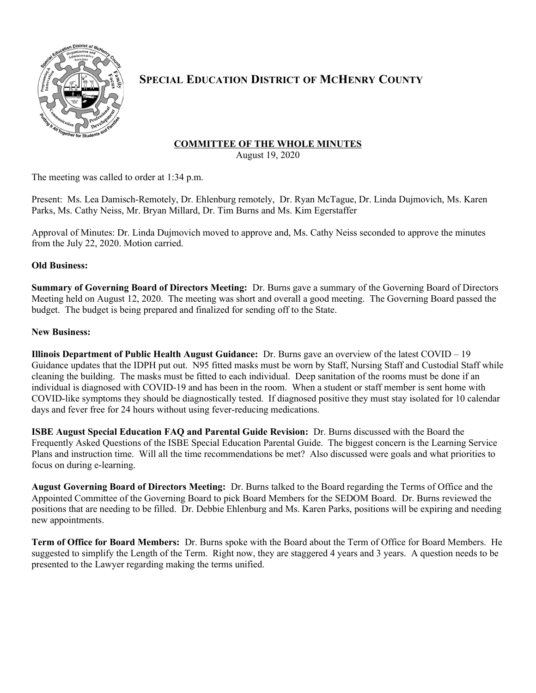

# **SPECIAL EDUCATION DISTRICT OF MCHENRY COUNTY**

## **COMMITTEE OF THE WHOLE MINUTES**

August 19, 2020

The meeting was called to order at 1:34 p.m.

Present: Ms. Lea Damisch-Remotely, Dr. Ehlenburg remotely, Dr. Ryan McTague, Dr. Linda Dujmovich, Ms. Karen Parks, Ms. Cathy Neiss, Mr. Bryan Millard, Dr. Tim Burns and Ms. Kim Egerstaffer

Approval of Minutes: Dr. Linda Dujmovich moved to approve and, Ms. Cathy Neiss seconded to approve the minutes from the July 22, 2020. Motion carried.

### **Old Business:**

**Summary of Governing Board of Directors Meeting:** Dr. Burns gave a summary of the Governing Board of Directors Meeting held on August 12, 2020. The meeting was short and overall a good meeting. The Governing Board passed the budget. The budget is being prepared and finalized for sending off to the State.

### **New Business:**

**Illinois Department of Public Health August Guidance:** Dr. Burns gave an overview of the latest COVID – 19 Guidance updates that the IDPH put out. N95 fitted masks must be worn by Staff, Nursing Staff and Custodial Staff while cleaning the building. The masks must be fitted to each individual. Deep sanitation of the rooms must be done if an individual is diagnosed with COVID-19 and has been in the room. When a student or staff member is sent home with COVID-like symptoms they should be diagnostically tested. If diagnosed positive they must stay isolated for 10 calendar days and fever free for 24 hours without using fever-reducing medications.

**ISBE August Special Education FAQ and Parental Guide Revision:** Dr. Burns discussed with the Board the Frequently Asked Questions of the ISBE Special Education Parental Guide. The biggest concern is the Learning Service Plans and instruction time. Will all the time recommendations be met? Also discussed were goals and what priorities to focus on during e-learning.

**August Governing Board of Directors Meeting:** Dr. Burns talked to the Board regarding the Terms of Office and the Appointed Committee of the Governing Board to pick Board Members for the SEDOM Board. Dr. Burns reviewed the positions that are needing to be filled. Dr. Debbie Ehlenburg and Ms. Karen Parks, positions will be expiring and needing new appointments.

**Term of Office for Board Members:** Dr. Burns spoke with the Board about the Term of Office for Board Members. He suggested to simplify the Length of the Term. Right now, they are staggered 4 years and 3 years. A question needs to be presented to the Lawyer regarding making the terms unified.